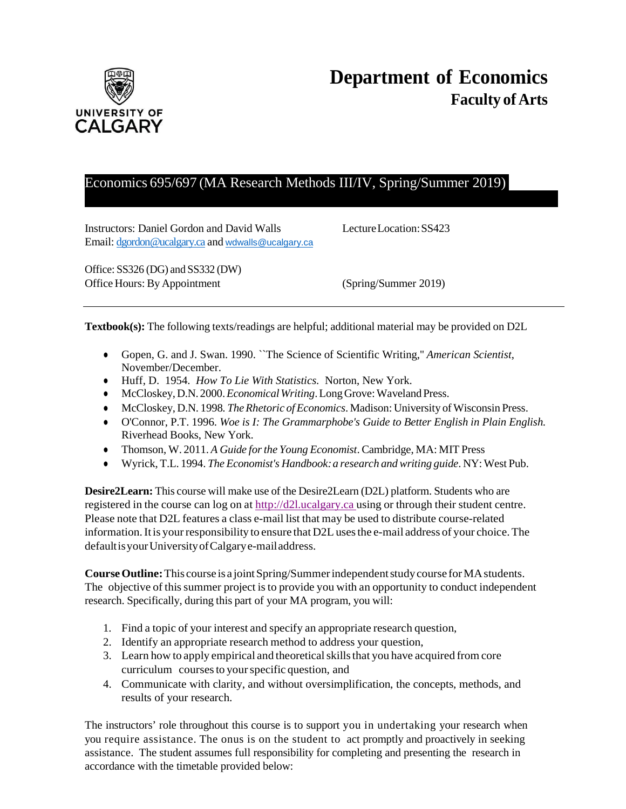

# Economics 695/697 (MA Research Methods III/IV, Spring/Summer 2019)

Instructors: Daniel Gordon and David Walls LectureLocation:SS423 Email: [dgordon@ucalgary.ca](mailto:dgordon@ucalgary.ca) and [wdwalls@ucalgary.ca](mailto:wdwalls@ucalgary.ca)

Office: SS326 (DG) and SS332 (DW) Office Hours: By Appointment (Spring/Summer 2019)

**Textbook(s):** The following texts/readings are helpful; additional material may be provided on D2L

- Gopen, G. and J. Swan. 1990. ``The Science of Scientific Writing,'' *American Scientist*, November/December.
- Huff, D. 1954. *How To Lie With Statistics.* Norton, New York.
- McCloskey,D.N. 2000.*EconomicalWriting*.LongGrove:WavelandPress.
- McCloskey, D.N. 1998. *The Rhetoric of Economics*. Madison: University of Wisconsin Press.
- O'Connor, P.T. 1996. *Woe is I: The Grammarphobe's Guide to Better English in Plain English.* Riverhead Books, New York.
- Thomson, W. 2011. *A Guide forthe Young Economist*. Cambridge, MA: MIT Press
- Wyrick, T.L. 1994. *The Economist's Handbook:a research and writing guide*. NY:West Pub.

**Desire2Learn:** This course will make use of the Desire2Learn (D2L) platform. Students who are registered in the course can log on at [http://d2l.ucalgary.ca](http://d2l.ucalgary.ca/) using or through their student centre. Please note that D2L features a class e-mail list that may be used to distribute course-related information. It is your responsibility to ensure that D2L uses the e-mail address of your choice. The defaultisyourUniversityofCalgarye-mailaddress.

**Course Outline:** This course is a joint Spring/Summer independent study course for MA students. The objective of this summer project is to provide you with an opportunity to conduct independent research. Specifically, during this part of your MA program, you will:

- 1. Find a topic of your interest and specify an appropriate research question,
- 2. Identify an appropriate research method to address your question,
- 3. Learn how to apply empirical and theoreticalskillsthat you have acquired from core curriculum coursesto yourspecific question, and
- 4. Communicate with clarity, and without oversimplification, the concepts, methods, and results of your research.

The instructors' role throughout this course is to support you in undertaking your research when you require assistance. The onus is on the student to act promptly and proactively in seeking assistance. The student assumes full responsibility for completing and presenting the research in accordance with the timetable provided below: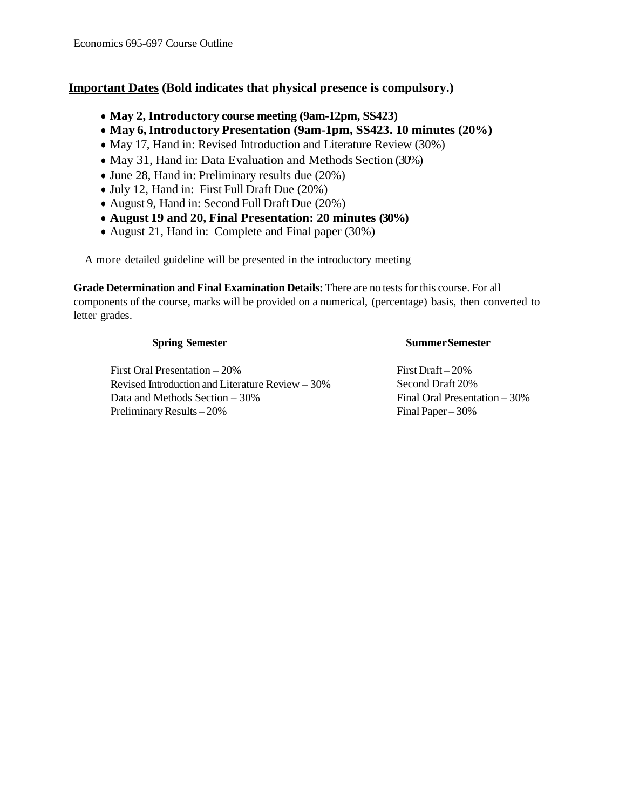## **Important Dates (Bold indicates that physical presence is compulsory.)**

- **May 2, Introductory course meeting (9am-12pm, SS423)**
- **May 6,Introductory Presentation (9am-1pm, SS423. 10 minutes (20%)**
- May 17, Hand in: Revised Introduction and Literature Review (30%)
- May 31, Hand in: Data Evaluation and Methods Section (30%)
- June 28, Hand in: Preliminary results due (20%)
- July 12, Hand in: First Full Draft Due (20%)
- August 9, Hand in: Second Full Draft Due (20%)
- **August 19 and 20, Final Presentation: 20 minutes (30%)**
- August 21, Hand in: Complete and Final paper (30%)

A more detailed guideline will be presented in the introductory meeting

**Grade Determination and Final Examination Details:** There are no tests for this course. For all components of the course, marks will be provided on a numerical, (percentage) basis, then converted to letter grades.

#### **Spring Semester**

### First Oral Presentation – 20% Revised Introduction and Literature Review – 30% Data and Methods Section – 30% Preliminary Results – 20%

#### **SummerSemester**

First Draft – 20% Second Draft 20% Final Oral Presentation – 30% Final Paper – 30%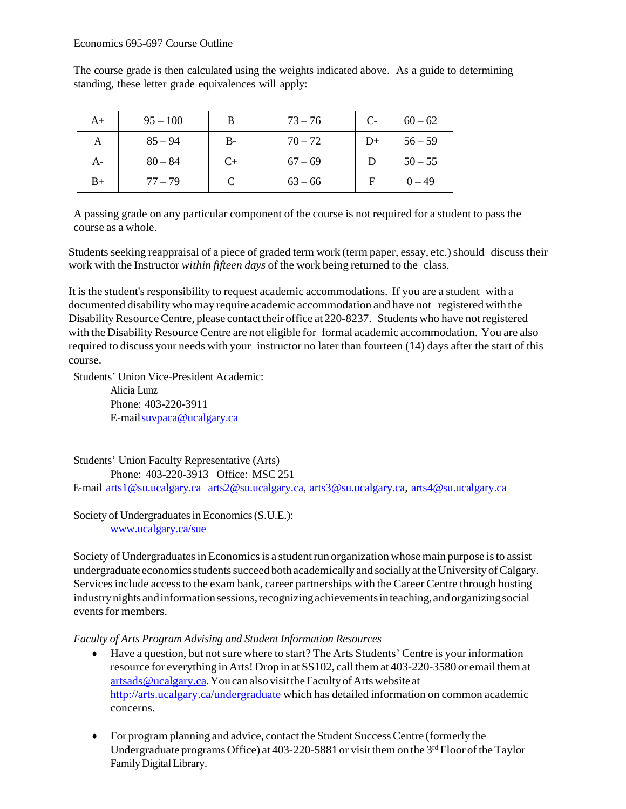The course grade is then calculated using the weights indicated above. As a guide to determining standing, these letter grade equivalences will apply:

| A+   | $95 - 100$ |      | $73 - 76$ | $C-$ | $60 - 62$ |
|------|------------|------|-----------|------|-----------|
| А    | $85 - 94$  | $B-$ | $70 - 72$ | $D+$ | $56 - 59$ |
| $A-$ | $80 - 84$  | $C+$ | $67 - 69$ |      | $50 - 55$ |
| $B+$ | $77 - 79$  |      | $63 - 66$ |      | $0 - 49$  |

A passing grade on any particular component of the course is not required for a student to pass the course as a whole.

Students seeking reappraisal of a piece of graded term work (term paper, essay, etc.) should discuss their work with the Instructor *within fifteen days* of the work being returned to the class.

It is the student's responsibility to request academic accommodations. If you are a student with a documented disability who may require academic accommodation and have not registered with the Disability Resource Centre, please contact their office at 220-8237. Students who have not registered with the Disability Resource Centre are not eligible for formal academic accommodation. You are also required to discuss your needs with your instructor no later than fourteen (14) days after the start of this course.

Students' Union Vice-President Academic:

Alicia Lunz Phone: 403-220-3911 E-mai[lsuvpaca@ucalgary.ca](mailto:subpaca@ucalgary.ca)

Students' Union Faculty Representative (Arts) Phone: 403-220-3913 Office: MSC 251 E-mail [arts1@su.ucalgary.ca](mailto:arts1@su.ucalgary.ca) [arts2@su.ucalgary.ca,](mailto:arts1@su.ucalgary.ca) [arts3@su.ucalgary.ca,](mailto:arts3@su.ucalgary.ca) [arts4@su.ucalgary.ca](mailto:arts4@su.ucalgary.ca)

Society of Undergraduates in Economics (S.U.E.): [www.ucalgary.ca/sue](http://www.fp.ucalgary.ca/econ)

Society of Undergraduates in Economics is a student run organization whose main purpose is to assist undergraduate economics students succeed both academically and socially at the University of Calgary. Services include access to the exam bank, career partnerships with the Career Centre through hosting industrynights andinformationsessions,recognizingachievementsinteaching,andorganizingsocial events for members.

*Faculty of Arts Program Advising and Student Information Resources*

- Have a question, but not sure where to start? The Arts Students' Centre is your information resource for everything in Arts! Drop in at SS102, call themat 403-220-3580 or email themat [artsads@ucalgary.ca.](mailto:artsads@ucalgary.ca)YoucanalsovisittheFacultyofArtswebsite at <http://arts.ucalgary.ca/undergraduate> which has detailed information on common academic concerns.
- For program planning and advice, contact the Student SuccessCentre (formerly the Undergraduate programs Office) at  $403-220-5881$  or visit them on the  $3<sup>rd</sup>$  Floor of the Taylor Family Digital Library.